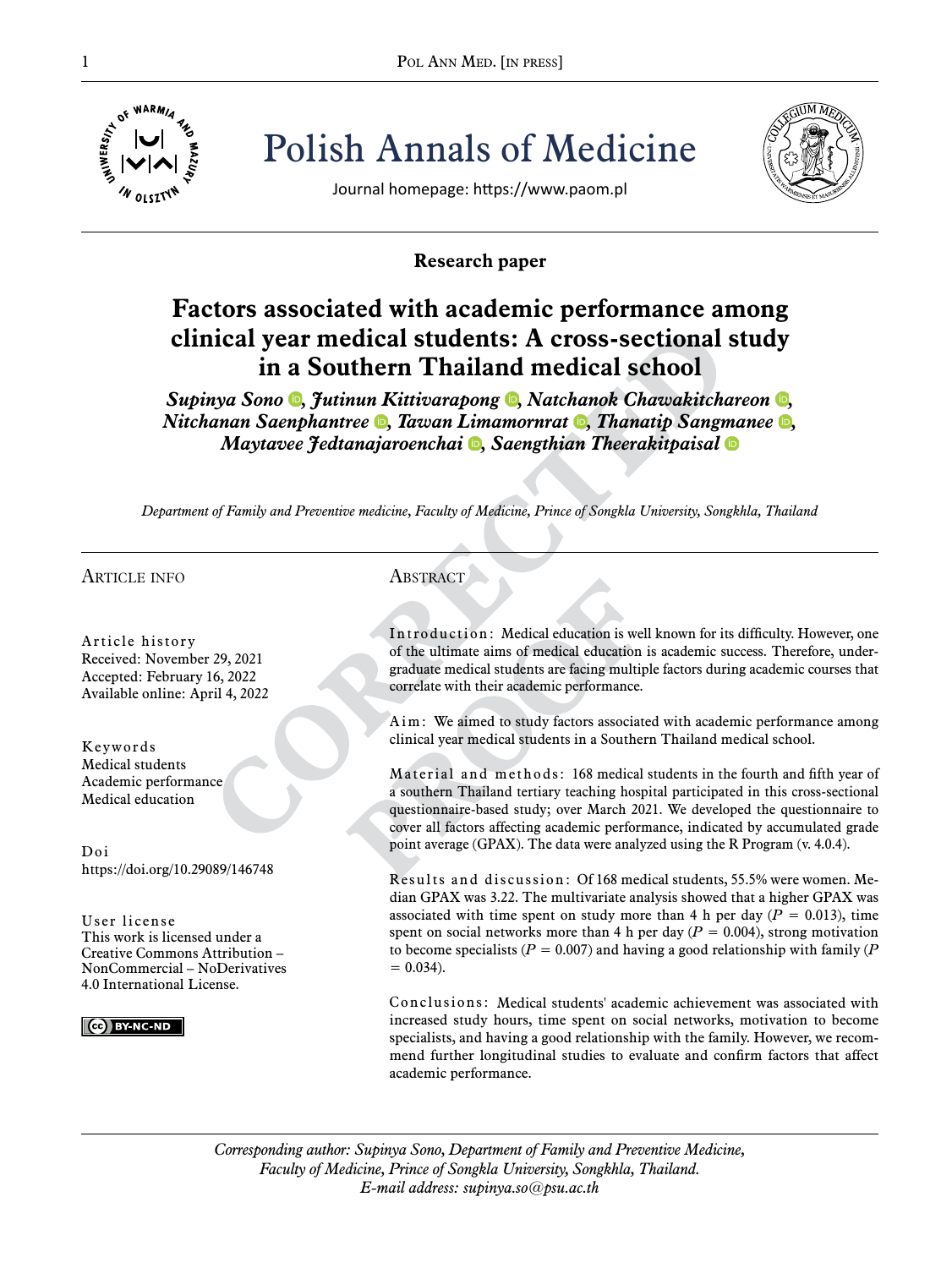

Pol ANN MED. [IN PRESS]<br>  $\frac{1}{\frac{1}{2} \sum_{i=1}^{N} |V|}$ <sup>4</sup>/<sub>4</sub><br>  $\frac{1}{2}$ <br>  $\frac{1}{2}$ <br>  $\frac{1}{2}$ <br>  $\frac{1}{2}$ <br>  $\frac{1}{2}$ <br>  $\frac{1}{2}$ <br>  $\frac{1}{2}$ <br>  $\frac{1}{2}$ <br>  $\frac{1}{2}$ <br>  $\frac{1}{2}$ Polish Annals of Medicine



Journal homepage: https://www.paom.pl

## **Research paper**

# **Factors associated with academic performance among clinical year medical students: A cross-sectional study in a Southern Thailand medical school**

*Supinya Sono* **,** *Jutinun Kittivarapong* **,** *Natchanok Chawakitchareon* **,** *Nitchanan Saenphantree* **•**, *Tawan Limamornrat* •, *Thanatip Sangmanee Maytavee Jedtanajaroenchai [,](https://orcid.org/0000-0003-3014-4999) Saengthian Theerakitpaisal*

*Department of Family and Preventive medicine, Faculty of Medicine, Prince of Songkla University, Songkhla, Thailand*

## article info

Article history Received: November 29, 2021 Accepted: February 16, 2022 Available online: April 4, 2022

Keywords Medical students Academic performance Medical education

Doi https://doi.org/10.29089/146748

User license This work is licensed under a Creative Commons Attribution – NonCommercial – NoDerivatives 4.0 International License.

CC BY-NC-ND

## **ABSTRACT**

Introduction: Medical education is well known for its difficulty. However, one of the ultimate aims of medical education is academic success. Therefore, undergraduate medical students are facing multiple factors during academic courses that correlate with their academic performance.

Aim: We aimed to study factors associated with academic performance among clinical year medical students in a Southern Thailand medical school.

Material and methods: 168 medical students in the fourth and fifth year of a southern Thailand tertiary teaching hospital participated in this cross-sectional questionnaire-based study; over March 2021. We developed the questionnaire to cover all factors affecting academic performance, indicated by accumulated grade point average (GPAX). The data were analyzed using the R Program (v. 4.0.4).

Results and discussion: Of 168 medical students, 55.5% were women. Median GPAX was 3.22. The multivariate analysis showed that a higher GPAX was associated with time spent on study more than 4 h per day  $(P = 0.013)$ , time spent on social networks more than 4 h per day  $(P = 0.004)$ , strong motivation to become specialists ( $P = 0.007$ ) and having a good relationship with family ( $P$  $= 0.034$ .

Conclusions: Medical students' academic achievement was associated with increased study hours, time spent on social networks, motivation to become specialists, and having a good relationship with the family. However, we recommend further longitudinal studies to evaluate and confirm factors that affect academic performance.

*Corresponding author: Supinya Sono, Department of Family and Preventive Medicine, Faculty of Medicine, Prince of Songkla University, Songkhla, Thailand. E-mail address: supinya.so@psu.ac.th*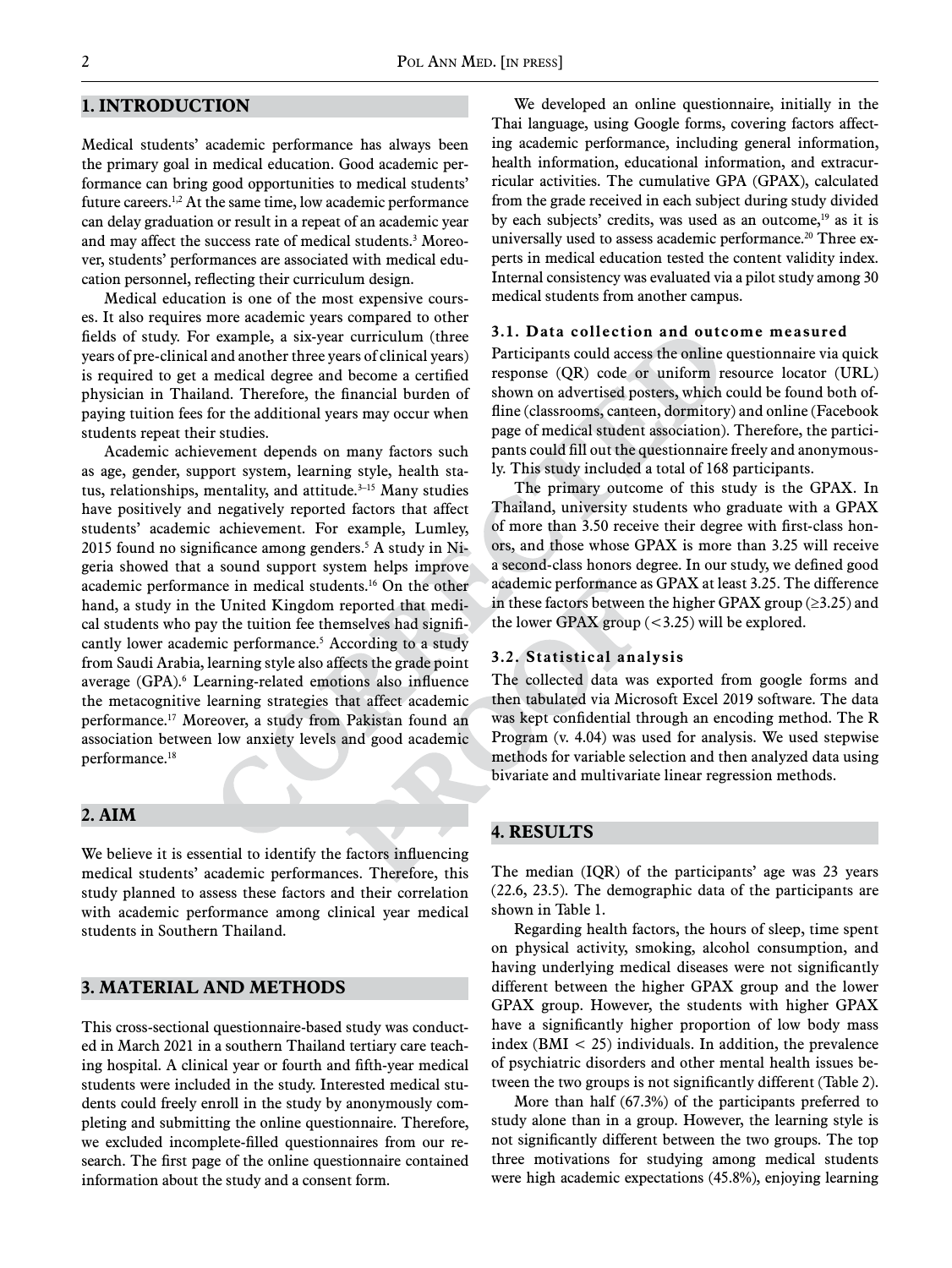### **1. Introduction**

Medical students' academic performance has always been the primary goal in medical education. Good academic performance can bring good opportunities to medical students' future careers.1,2 At the same time, low academic performance can delay graduation or result in a repeat of an academic year and may affect the success rate of medical students.3 Moreover, students' performances are associated with medical education personnel, reflecting their curriculum design.

Medical education is one of the most expensive courses. It also requires more academic years compared to other fields of study. For example, a six-year curriculum (three years of pre-clinical and another three years of clinical years) is required to get a medical degree and become a certified physician in Thailand. Therefore, the financial burden of paying tuition fees for the additional years may occur when students repeat their studies.

Academic achievement depends on many factors such as age, gender, support system, learning style, health status, relationships, mentality, and attitude.<sup>3-15</sup> Many studies have positively and negatively reported factors that affect students' academic achievement. For example, Lumley, 2015 found no significance among genders.<sup>5</sup> A study in Nigeria showed that a sound support system helps improve academic performance in medical students.16 On the other hand, a study in the United Kingdom reported that medical students who pay the tuition fee themselves had significantly lower academic performance.<sup>5</sup> According to a study from Saudi Arabia, learning style also affects the grade point average (GPA).6 Learning-related emotions also influence the metacognitive learning strategies that affect academic performance.17 Moreover, a study from Pakistan found an association between low anxiety levels and good academic performance.18

#### **2. Aim**

We believe it is essential to identify the factors influencing medical students' academic performances. Therefore, this study planned to assess these factors and their correlation with academic performance among clinical year medical students in Southern Thailand.

## **3. Material and methods**

This cross-sectional questionnaire-based study was conducted in March 2021 in a southern Thailand tertiary care teaching hospital. A clinical year or fourth and fifth-year medical students were included in the study. Interested medical students could freely enroll in the study by anonymously completing and submitting the online questionnaire. Therefore, we excluded incomplete-filled questionnaires from our research. The first page of the online questionnaire contained information about the study and a consent form.

We developed an online questionnaire, initially in the Thai language, using Google forms, covering factors affecting academic performance, including general information, health information, educational information, and extracurricular activities. The cumulative GPA (GPAX), calculated from the grade received in each subject during study divided by each subjects' credits, was used as an outcome,<sup>19</sup> as it is universally used to assess academic performance.<sup>20</sup> Three experts in medical education tested the content validity index. Internal consistency was evaluated via a pilot study among 30 medical students from another campus.

#### **3.1. Data collection and outcome measured**

Participants could access the online questionnaire via quick response (QR) code or uniform resource locator (URL) shown on advertised posters, which could be found both offline (classrooms, canteen, dormitory) and online (Facebook page of medical student association). Therefore, the participants could fill out the questionnaire freely and anonymously. This study included a total of 168 participants.

The primary outcome of this study is the GPAX. In Thailand, university students who graduate with a GPAX of more than 3.50 receive their degree with first-class honors, and those whose GPAX is more than 3.25 will receive a second-class honors degree. In our study, we defined good academic performance as GPAX at least 3.25. The difference in these factors between the higher GPAX group ( $\geq$ 3.25) and the lower GPAX group  $( $3.25$ )$  will be explored.

#### **3.2. Statistical analysis**

The collected data was exported from google forms and then tabulated via Microsoft Excel 2019 software. The data was kept confidential through an encoding method. The R Program (v. 4.04) was used for analysis. We used stepwise methods for variable selection and then analyzed data using bivariate and multivariate linear regression methods.

#### **4. Results**

The median (IQR) of the participants' age was 23 years (22.6, 23.5). The demographic data of the participants are shown in Table 1.

Regarding health factors, the hours of sleep, time spent on physical activity, smoking, alcohol consumption, and having underlying medical diseases were not significantly different between the higher GPAX group and the lower GPAX group. However, the students with higher GPAX have a significantly higher proportion of low body mass index ( $BMI < 25$ ) individuals. In addition, the prevalence of psychiatric disorders and other mental health issues between the two groups is not significantly different (Table 2).

More than half (67.3%) of the participants preferred to study alone than in a group. However, the learning style is not significantly different between the two groups. The top three motivations for studying among medical students were high academic expectations (45.8%), enjoying learning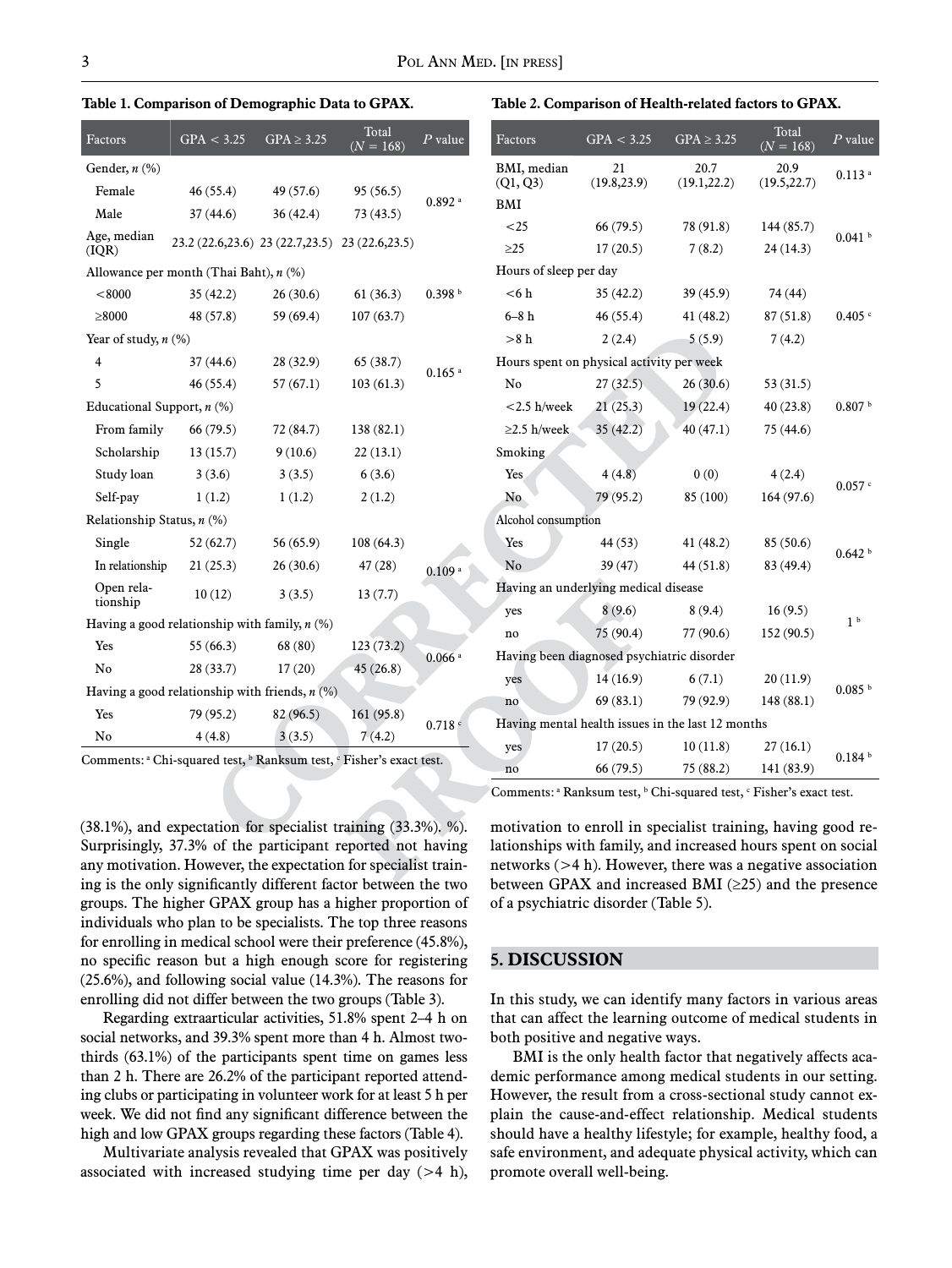**Table 1. Comparison of Demographic Data to GPAX.**

| Factors                      | GPA < 3.25                                        | $GPA \geq 3.25$ | Total<br>$(N = 168)$ | $P$ value            | Factors                        | GPA < 3.25           |
|------------------------------|---------------------------------------------------|-----------------|----------------------|----------------------|--------------------------------|----------------------|
| Gender, $n$ $(\%)$           |                                                   |                 |                      |                      | BMI, median                    | 21                   |
| Female                       | 46(55.4)                                          | 49 (57.6)       | 95(56.5)             | $0.892$ <sup>a</sup> | (Q1, Q3)                       | (19.8, 23.9)         |
| Male                         | 37(44.6)                                          | 36 (42.4)       | 73 (43.5)            |                      | BMI                            |                      |
| Age, median<br>(IQR)         | 23.2 (22.6, 23.6) 23 (22.7, 23.5) 23 (22.6, 23.5) |                 |                      |                      | ${<}25$<br>$\geq$ 25           | 66(79.5)<br>17(20.5) |
|                              | Allowance per month (Thai Baht), $n$ (%)          |                 |                      |                      | Hours of sleep per day         |                      |
| < 8000                       | 35(42.2)                                          | 26(30.6)        | 61(36.3)             | 0.398 <sup>b</sup>   | < 6 h                          | 35(42.2)             |
| $\geq 8000$                  | 48 (57.8)                                         | 59 (69.4)       | 107(63.7)            |                      | $6-8h$                         | 46 (55.4)            |
| Year of study, $n$ (%)       |                                                   |                 |                      |                      | $>8$ h                         | 2(2.4)               |
| $\overline{4}$               | 37(44.6)                                          | 28 (32.9)       | 65(38.7)             | $0.165$ <sup>a</sup> | Hours spent on physical activi |                      |
| 5                            | 46(55.4)                                          | 57(67.1)        | 103(61.3)            |                      | No                             | 27(32.5)             |
| Educational Support, $n$ (%) |                                                   |                 |                      |                      | $<$ 2.5 h/week                 | 21(25.3)             |
| From family                  | 66 (79.5)                                         | 72 (84.7)       | 138 (82.1)           |                      | $\geq$ 2.5 h/week              | 35(42.2)             |
| Scholarship                  | 13(15.7)                                          | 9(10.6)         | 22(13.1)             |                      | Smoking                        |                      |
| Study loan                   | 3(3.6)                                            | 3(3.5)          | 6(3.6)               |                      | Yes                            | 4(4.8)               |
| Self-pay                     | 1(1.2)                                            | 1(1.2)          | 2(1.2)               |                      | No.                            | 79 (95.2)            |
| Relationship Status, $n$ (%) |                                                   |                 |                      |                      | Alcohol consumption            |                      |
| Single                       | 52(62.7)                                          | 56 (65.9)       | 108(64.3)            |                      | Yes                            | 44 (53)              |
| In relationship              | 21(25.3)                                          | 26(30.6)        | 47(28)               | 0.109a               | N <sub>o</sub>                 | 39(47)               |
| Open rela-<br>tionship       | 10(12)                                            | 3(3.5)          | 13(7.7)              |                      | Having an underlying medica    |                      |
|                              | Having a good relationship with family, $n$ (%)   |                 |                      |                      | yes                            | 8(9.6)               |
| Yes                          | 55(66.3)                                          | 68(80)          | 123(73.2)            |                      | no                             | 75(90.4)             |
| N <sub>0</sub>               | 28 (33.7)                                         | 17(20)          | 45(26.8)             | $0.066$ <sup>a</sup> | Having been diagnosed psych    |                      |
|                              | Having a good relationship with friends, $n$ (%)  |                 |                      |                      | yes                            | 14(16.9)             |
| Yes                          | 79 (95.2)                                         | 82 (96.5)       | 161 (95.8)           |                      | no                             | 69(83.1)             |
| No                           | 4(4.8)                                            | 3(3.5)          | 7(4.2)               | 0.718C               | Having mental health issues in |                      |
|                              |                                                   |                 |                      |                      | yes                            | 17(20.5)             |

**Table 2. Comparison of Health-related factors to GPAX.**

Comments: <sup>a</sup> Chi-squared test, <sup>b</sup> Ranksum test, <sup>c</sup> Fisher's exact test.

(38.1%), and expectation for specialist training (33.3%). %). Surprisingly, 37.3% of the participant reported not having any motivation. However, the expectation for specialist training is the only significantly different factor between the two groups. The higher GPAX group has a higher proportion of individuals who plan to be specialists. The top three reasons for enrolling in medical school were their preference (45.8%), no specific reason but a high enough score for registering (25.6%), and following social value (14.3%). The reasons for enrolling did not differ between the two groups (Table 3).

Regarding extraarticular activities, 51.8% spent 2–4 h on social networks, and 39.3% spent more than 4 h. Almost twothirds (63.1%) of the participants spent time on games less than 2 h. There are 26.2% of the participant reported attending clubs or participating in volunteer work for at least 5 h per week. We did not find any significant difference between the high and low GPAX groups regarding these factors (Table 4).

Multivariate analysis revealed that GPAX was positively associated with increased studying time per day  $(>4 h)$ ,

|                                            | Factors                                   | GPA < 3.25         | $GPA \geq 3.25$                                   | Total<br>$(N = 168)$ | $P$ value            |  |  |
|--------------------------------------------|-------------------------------------------|--------------------|---------------------------------------------------|----------------------|----------------------|--|--|
|                                            | BMI, median<br>(Q1, Q3)                   | 21<br>(19.8, 23.9) | 20.7<br>(19.1, 22.2)                              | 20.9<br>(19.5, 22.7) | $0.113$ <sup>a</sup> |  |  |
|                                            | BMI                                       |                    |                                                   |                      |                      |  |  |
|                                            | ${<}25$                                   | 66(79.5)           | 78 (91.8)                                         | 144 (85.7)           | 0.041 h              |  |  |
|                                            | $\geq$ 25                                 | 17(20.5)           | 7(8.2)                                            | 24(14.3)             |                      |  |  |
|                                            | Hours of sleep per day                    |                    |                                                   |                      |                      |  |  |
|                                            | < 6 h                                     | 35(42.2)           | 39(45.9)                                          | 74 (44)              |                      |  |  |
|                                            | $6-8h$                                    | 46(55.4)           | 41(48.2)                                          | 87(51.8)             | $0.405$ $\degree$    |  |  |
|                                            | >8 h                                      | 2(2.4)             | 5(5.9)                                            | 7(4.2)               |                      |  |  |
|                                            | Hours spent on physical activity per week |                    |                                                   |                      |                      |  |  |
|                                            | No                                        | 27(32.5)           | 26(30.6)                                          | 53(31.5)             |                      |  |  |
|                                            | $<$ 2.5 h/week                            | 21(25.3)           | 19(22.4)                                          | 40(23.8)             | 0.807 h              |  |  |
|                                            | $\geq$ 2.5 h/week                         | 35(42.2)           | 40 (47.1)                                         | 75 (44.6)            |                      |  |  |
|                                            | Smoking                                   |                    |                                                   |                      |                      |  |  |
|                                            | Yes                                       | 4(4.8)             | 0(0)                                              | 4(2.4)               |                      |  |  |
|                                            | No.                                       | 79 (95.2)          | 85 (100)                                          | 164(97.6)            | $0.057$ $\circ$      |  |  |
|                                            | Alcohol consumption                       |                    |                                                   |                      |                      |  |  |
|                                            | Yes                                       | 44 (53)            | 41(48.2)                                          | 85 (50.6)            | 0.642 <sup>b</sup>   |  |  |
|                                            | N <sub>o</sub>                            | 39 (47)            | 44 (51.8)                                         | 83 (49.4)            |                      |  |  |
|                                            | Having an underlying medical disease      |                    |                                                   |                      |                      |  |  |
|                                            | yes                                       | 8(9.6)             | 8(9.4)                                            | 16(9.5)              |                      |  |  |
|                                            | no                                        | 75(90.4)           | 77 (90.6)                                         | 152 (90.5)           | 1 <sup>b</sup>       |  |  |
| Having been diagnosed psychiatric disorder |                                           |                    |                                                   |                      |                      |  |  |
|                                            | yes                                       | 14(16.9)           | 6(7.1)                                            | 20(11.9)             |                      |  |  |
|                                            | no                                        | 69(83.1)           | 79 (92.9)                                         | 148 (88.1)           | 0.085 h              |  |  |
|                                            |                                           |                    | Having mental health issues in the last 12 months |                      |                      |  |  |
|                                            | yes                                       | 17(20.5)           | 10(11.8)                                          | 27(16.1)             |                      |  |  |
|                                            | no                                        | 66 (79.5)          | 75 (88.2)                                         | 141 (83.9)           | 0.184 <sup>b</sup>   |  |  |

Comments:  $a$  Ranksum test,  $b$  Chi-squared test,  $c$  Fisher's exact test.

motivation to enroll in specialist training, having good relationships with family, and increased hours spent on social networks (>4 h). However, there was a negative association between GPAX and increased BMI  $(\geq 25)$  and the presence of a psychiatric disorder (Table 5).

#### **5. Discussion**

In this study, we can identify many factors in various areas that can affect the learning outcome of medical students in both positive and negative ways.

BMI is the only health factor that negatively affects academic performance among medical students in our setting. However, the result from a cross-sectional study cannot explain the cause-and-effect relationship. Medical students should have a healthy lifestyle; for example, healthy food, a safe environment, and adequate physical activity, which can promote overall well-being.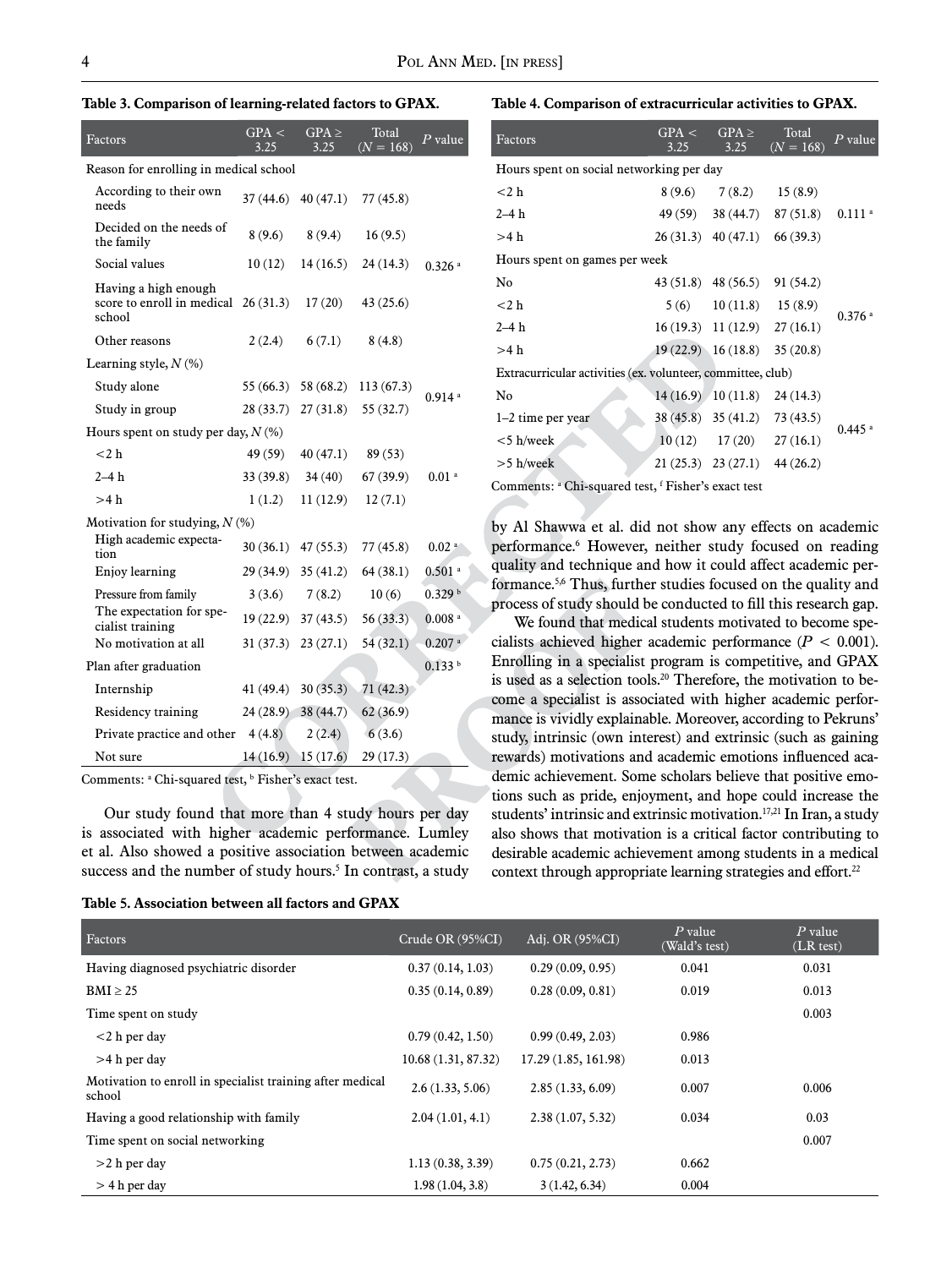|  |  | Table 3. Comparison of learning-related factors to GPAX. |  |  |  |  |  |  |
|--|--|----------------------------------------------------------|--|--|--|--|--|--|
|--|--|----------------------------------------------------------|--|--|--|--|--|--|

| Factors                                                                         | GPA <<br>3.25 | $GPA \geq$<br>3.25   | Total<br>$(N = 168)$ | $P$ value            |
|---------------------------------------------------------------------------------|---------------|----------------------|----------------------|----------------------|
| Reason for enrolling in medical school                                          |               |                      |                      |                      |
| According to their own<br>needs                                                 |               | $37(44.6)$ 40 (47.1) | 77 (45.8)            |                      |
| Decided on the needs of<br>the family                                           | 8(9.6)        | 8(9.4)               | 16(9.5)              |                      |
| Social values                                                                   | 10(12)        | 14(16.5)             | 24(14.3)             | $0.326$ <sup>a</sup> |
| Having a high enough<br>score to enroll in medical $26(31.3)$ 17 (20)<br>school |               |                      | 43 (25.6)            |                      |
| Other reasons                                                                   | 2(2.4)        | 6(7.1)               | 8(4.8)               |                      |
| Learning style, $N(\%)$                                                         |               |                      |                      |                      |
| Study alone                                                                     | 55(66.3)      | 58 (68.2)            | 113(67.3)            | $0.914$ <sup>a</sup> |
| Study in group                                                                  | 28(33.7)      | 27(31.8)             | 55(32.7)             |                      |
| Hours spent on study per day, $N(\%)$                                           |               |                      |                      |                      |
| $<$ 2 h                                                                         | 49 (59)       | 40(47.1)             | 89(53)               |                      |
| $2-4h$                                                                          | 33(39.8)      | 34(40)               | 67(39.9)             | $0.01$ <sup>a</sup>  |
| >4 h                                                                            | 1(1.2)        | 11(12.9)             | 12(7.1)              |                      |
| Motivation for studying, $N$ (%)                                                |               |                      |                      |                      |
| High academic expecta-<br>tion                                                  |               | $30(36.1)$ 47 (55.3) | 77(45.8)             | 0.02 <sup>a</sup>    |
| Enjoy learning                                                                  | 29(34.9)      | 35(41.2)             | 64(38.1)             | $0.501$ <sup>a</sup> |
| Pressure from family                                                            | 3(3.6)        | 7(8.2)               | 10(6)                | 0.329 <sup>b</sup>   |
| The expectation for spe-<br>cialist training                                    | 19(22.9)      | 37(43.5)             | 56(33.3)             | $0.008$ <sup>a</sup> |
| No motivation at all                                                            | 31(37.3)      | 23(27.1)             | 54(32.1)             | $0.207$ <sup>a</sup> |
| Plan after graduation                                                           |               |                      |                      | 0.133 <sup>b</sup>   |
| Internship                                                                      | 41 (49.4)     | 30(35.3)             | 71(42.3)             |                      |
| Residency training                                                              | 24(28.9)      | 38(44.7)             | 62(36.9)             |                      |
| Private practice and other $4(4.8)$                                             |               | 2(2.4)               | 6(3.6)               |                      |
| Not sure                                                                        | 14(16.9)      | 15(17.6)             | 29 (17.3)            |                      |

Comments: <sup>a</sup> Chi-squared test, <sup>b</sup> Fisher's exact test.

Our study found that more than 4 study hours per day is associated with higher academic performance. Lumley et al. Also showed a positive association between academic success and the number of study hours.<sup>5</sup> In contrast, a study

|  |  |  |  |  |  |  |  | Table 5. Association between all factors and GPAX |  |  |  |
|--|--|--|--|--|--|--|--|---------------------------------------------------|--|--|--|
|--|--|--|--|--|--|--|--|---------------------------------------------------|--|--|--|

#### **Table 4. Comparison of extracurricular activities to GPAX.**

| Factors                                                     | GPA <<br>3.25               | $GPA \geq$<br>3.25        | Total<br>$(N = 168)$                | $P$ value            |
|-------------------------------------------------------------|-----------------------------|---------------------------|-------------------------------------|----------------------|
| Hours spent on social networking per day                    |                             |                           |                                     |                      |
| $<$ 2 h                                                     | 8(9.6)                      |                           | $7(8.2)$ 15 (8.9)                   |                      |
| $2-4h$                                                      |                             |                           | 49 (59) 38 (44.7) 87 (51.8) 0.111 a |                      |
| >4 h                                                        |                             |                           | $26(31.3)$ 40(47.1) 66(39.3)        |                      |
| Hours spent on games per week                               |                             |                           |                                     |                      |
| No                                                          |                             |                           | 43 (51.8) 48 (56.5) 91 (54.2)       |                      |
| $<$ 2 h                                                     |                             | $5(6)$ 10 (11.8) 15 (8.9) |                                     |                      |
| $2-4h$                                                      |                             |                           | $16(19.3)$ $11(12.9)$ $27(16.1)$    | $0.376$ <sup>a</sup> |
| >4 h                                                        |                             |                           | $19(22.9)$ $16(18.8)$ $35(20.8)$    |                      |
| Extracurricular activities (ex. volunteer, committee, club) |                             |                           |                                     |                      |
| No                                                          |                             |                           | $14(16.9)$ $10(11.8)$ $24(14.3)$    |                      |
| $1-2$ time per year                                         |                             |                           | 38 (45.8) 35 (41.2) 73 (43.5)       |                      |
| $<$ 5 h/week                                                |                             |                           | $10(12)$ $17(20)$ $27(16.1)$        | $0.445$ <sup>a</sup> |
| $>5$ h/week                                                 |                             |                           | $21(25.3)$ $23(27.1)$ $44(26.2)$    |                      |
|                                                             | $\sim$ $\sim$ $\sim$ $\sim$ |                           |                                     |                      |

Comments: <sup>a</sup> Chi-squared test, <sup>f</sup> Fisher's exact test

by Al Shawwa et al. did not show any effects on academic performance.6 However, neither study focused on reading quality and technique and how it could affect academic performance.5,6 Thus, further studies focused on the quality and process of study should be conducted to fill this research gap.

We found that medical students motivated to become specialists achieved higher academic performance (*P* < 0.001). Enrolling in a specialist program is competitive, and GPAX is used as a selection tools.<sup>20</sup> Therefore, the motivation to become a specialist is associated with higher academic performance is vividly explainable. Moreover, according to Pekruns' study, intrinsic (own interest) and extrinsic (such as gaining rewards) motivations and academic emotions influenced academic achievement. Some scholars believe that positive emotions such as pride, enjoyment, and hope could increase the students' intrinsic and extrinsic motivation.<sup>17,21</sup> In Iran, a study also shows that motivation is a critical factor contributing to desirable academic achievement among students in a medical context through appropriate learning strategies and effort.<sup>22</sup>

| Factors                                                             | Crude OR (95%CI)   | Adj. OR (95%CI)      | $P$ value<br>(Wald's test) | $P$ value<br>(LR test) |
|---------------------------------------------------------------------|--------------------|----------------------|----------------------------|------------------------|
| Having diagnosed psychiatric disorder                               | 0.37(0.14, 1.03)   | 0.29(0.09, 0.95)     | 0.041                      | 0.031                  |
| $BMI \geq 25$                                                       | 0.35(0.14, 0.89)   | 0.28(0.09, 0.81)     | 0.019                      | 0.013                  |
| Time spent on study                                                 |                    |                      |                            | 0.003                  |
| $<$ 2 h per day                                                     | 0.79(0.42, 1.50)   | 0.99(0.49, 2.03)     | 0.986                      |                        |
| $>4$ h per day                                                      | 10.68(1.31, 87.32) | 17.29 (1.85, 161.98) | 0.013                      |                        |
| Motivation to enroll in specialist training after medical<br>school | 2.6(1.33, 5.06)    | 2.85(1.33, 6.09)     | 0.007                      | 0.006                  |
| Having a good relationship with family                              | 2.04(1.01, 4.1)    | 2.38(1.07, 5.32)     | 0.034                      | 0.03                   |
| Time spent on social networking                                     |                    |                      |                            | 0.007                  |
| $>2$ h per day                                                      | 1.13(0.38, 3.39)   | 0.75(0.21, 2.73)     | 0.662                      |                        |
| $>$ 4 h per day                                                     | 1.98(1.04, 3.8)    | 3(1.42, 6.34)        | 0.004                      |                        |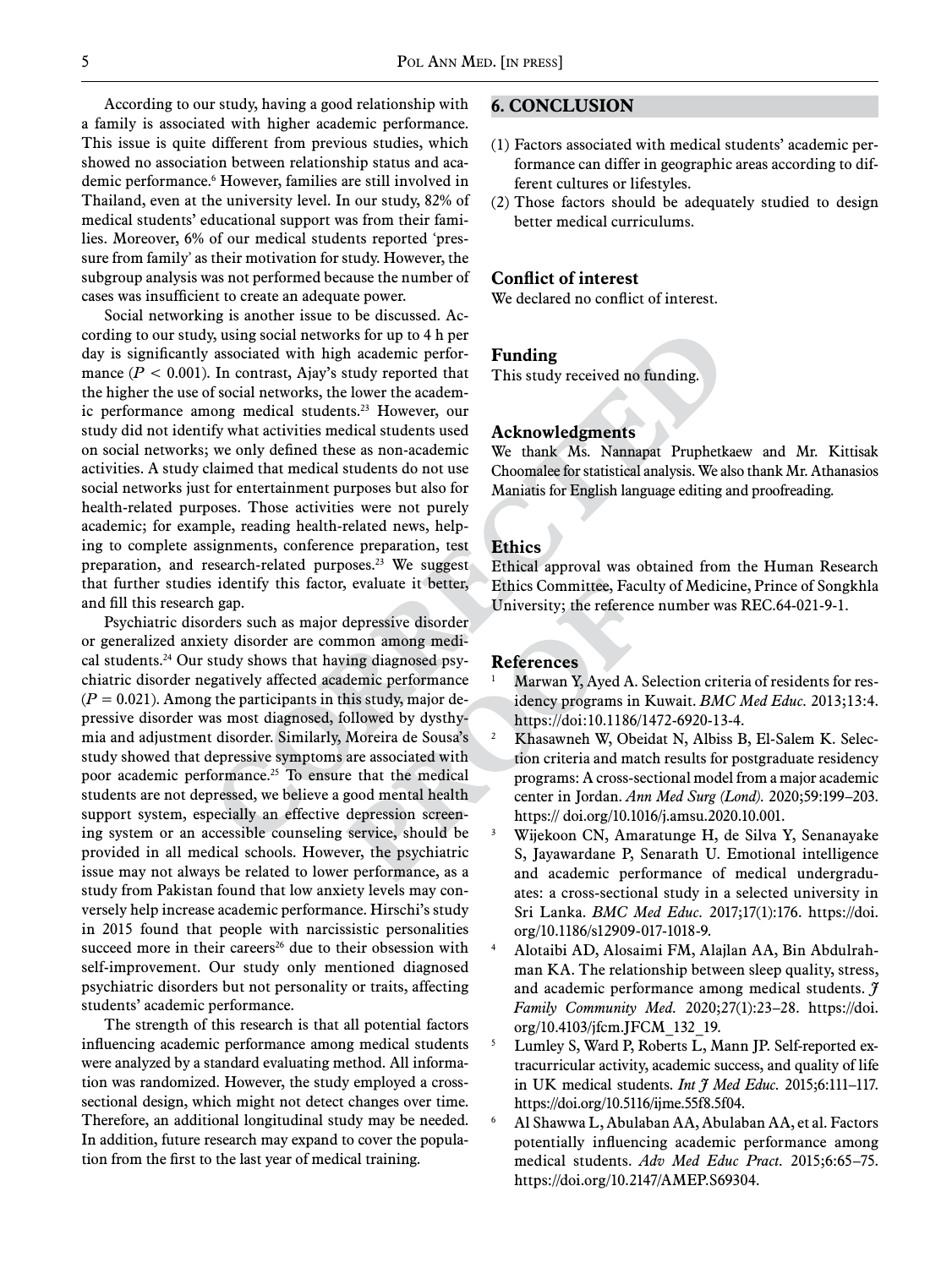According to our study, having a good relationship with a family is associated with higher academic performance. This issue is quite different from previous studies, which showed no association between relationship status and academic performance.6 However, families are still involved in Thailand, even at the university level. In our study, 82% of medical students' educational support was from their families. Moreover, 6% of our medical students reported 'pressure from family' as their motivation for study. However, the subgroup analysis was not performed because the number of cases was insufficient to create an adequate power.

Social networking is another issue to be discussed. According to our study, using social networks for up to 4 h per day is significantly associated with high academic performance  $(P < 0.001)$ . In contrast, Ajay's study reported that the higher the use of social networks, the lower the academic performance among medical students.<sup>23</sup> However, our study did not identify what activities medical students used on social networks; we only defined these as non-academic activities. A study claimed that medical students do not use social networks just for entertainment purposes but also for health-related purposes. Those activities were not purely academic; for example, reading health-related news, helping to complete assignments, conference preparation, test preparation, and research-related purposes.<sup>23</sup> We suggest that further studies identify this factor, evaluate it better, and fill this research gap.

Psychiatric disorders such as major depressive disorder or generalized anxiety disorder are common among medical students.<sup>24</sup> Our study shows that having diagnosed psychiatric disorder negatively affected academic performance  $(P = 0.021)$ . Among the participants in this study, major depressive disorder was most diagnosed, followed by dysthymia and adjustment disorder. Similarly, Moreira de Sousa's study showed that depressive symptoms are associated with poor academic performance.<sup>25</sup> To ensure that the medical students are not depressed, we believe a good mental health support system, especially an effective depression screening system or an accessible counseling service, should be provided in all medical schools. However, the psychiatric issue may not always be related to lower performance, as a study from Pakistan found that low anxiety levels may conversely help increase academic performance. Hirschi's study in 2015 found that people with narcissistic personalities succeed more in their careers<sup>26</sup> due to their obsession with self-improvement. Our study only mentioned diagnosed psychiatric disorders but not personality or traits, affecting students' academic performance.

The strength of this research is that all potential factors influencing academic performance among medical students were analyzed by a standard evaluating method. All information was randomized. However, the study employed a crosssectional design, which might not detect changes over time. Therefore, an additional longitudinal study may be needed. In addition, future research may expand to cover the population from the first to the last year of medical training.

### **6. Conclusion**

- (1) Factors associated with medical students' academic performance can differ in geographic areas according to different cultures or lifestyles.
- (2) Those factors should be adequately studied to design better medical curriculums.

#### **Conflict of interest**

We declared no conflict of interest.

#### **Funding**

This study received no funding.

#### **Acknowledgments**

We thank Ms. Nannapat Pruphetkaew and Mr. Kittisak Choomalee for statistical analysis. We also thank Mr. Athanasios Maniatis for English language editing and proofreading.

#### **Ethics**

Ethical approval was obtained from the Human Research Ethics Committee, Faculty of Medicine, Prince of Songkhla University; the reference number was REC.64-021-9-1.

#### **References**

- Marwan Y, Ayed A. Selection criteria of residents for residency programs in Kuwait. *BMC Med Educ.* 2013;13:4. https://doi:10.1186/1472-6920-13-4.
- <sup>2</sup> Khasawneh W, Obeidat N, Albiss B, El-Salem K. Selection criteria and match results for postgraduate residency programs: A cross-sectional model from a major academic center in Jordan. *Ann Med Surg (Lond).* 2020;59:199–203. https:// doi.org/10.1016/j.amsu.2020.10.001.
- <sup>3</sup> Wijekoon CN, Amaratunge H, de Silva Y, Senanayake S, Jayawardane P, Senarath U. Emotional intelligence and academic performance of medical undergraduates: a cross-sectional study in a selected university in Sri Lanka. *BMC Med Educ.* 2017;17(1):176. https://doi. org/10.1186/s12909-017-1018-9.
- <sup>4</sup> Alotaibi AD, Alosaimi FM, Alajlan AA, Bin Abdulrahman KA. The relationship between sleep quality, stress, and academic performance among medical students. *J Family Community Med.* 2020;27(1):23–28. https://doi. org/10.4103/jfcm.JFCM\_132\_19.
- <sup>5</sup> Lumley S, Ward P, Roberts L, Mann JP. Self-reported extracurricular activity, academic success, and quality of life in UK medical students. *Int J Med Educ.* 2015;6:111–117. https://doi.org/10.5116/ijme.55f8.5f04.
- <sup>6</sup> Al Shawwa L, Abulaban AA, Abulaban AA, et al. Factors potentially influencing academic performance among medical students. *Adv Med Educ Pract.* 2015;6:65–75. https://doi.org/10.2147/AMEP.S69304.